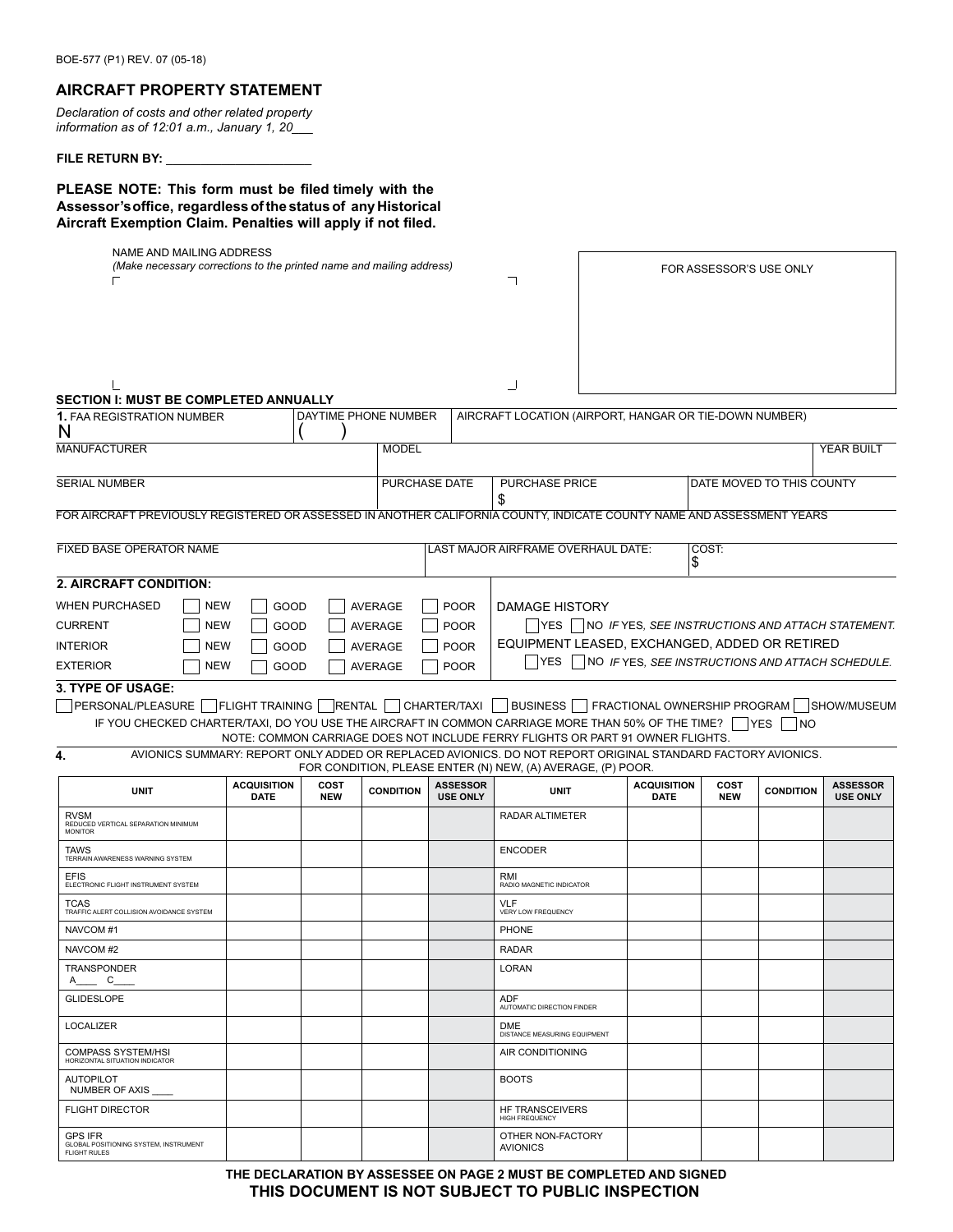## **AIRCRAFT PROPERTY STATEMENT**

*Declaration of costs and other related property information as of 12:01 a.m., January 1, 20\_\_\_*

### FILE RETURN BY:

FLIGHT DIRECTOR

GPS IFR GLOBAL POSITIONING SYSTEM, INSTRUMENT FLIGHT RULES

**PLEASE NOTE: This form must be filed timely with the Assessor'soffice, regardless of the status of any Historical Aircraft Exemption Claim. Penalties will apply if not filed.**

| NAME AND MAILING ADDRESS<br>(Make necessary corrections to the printed name and mailing address)                       |            |                                   |                    |                                                                                 |                                    |                                                                                                                                                                            | FOR ASSESSOR'S USE ONLY           |                           |                      |                                            |
|------------------------------------------------------------------------------------------------------------------------|------------|-----------------------------------|--------------------|---------------------------------------------------------------------------------|------------------------------------|----------------------------------------------------------------------------------------------------------------------------------------------------------------------------|-----------------------------------|---------------------------|----------------------|--------------------------------------------|
|                                                                                                                        |            |                                   |                    |                                                                                 |                                    |                                                                                                                                                                            |                                   |                           |                      |                                            |
|                                                                                                                        |            |                                   |                    |                                                                                 |                                    |                                                                                                                                                                            |                                   |                           |                      |                                            |
| <b>SECTION I: MUST BE COMPLETED ANNUALLY</b>                                                                           |            |                                   |                    |                                                                                 |                                    |                                                                                                                                                                            |                                   |                           |                      |                                            |
| <b>1. FAA REGISTRATION NUMBER</b><br>N                                                                                 |            |                                   |                    | DAYTIME PHONE NUMBER                                                            |                                    | AIRCRAFT LOCATION (AIRPORT, HANGAR OR TIE-DOWN NUMBER)                                                                                                                     |                                   |                           |                      |                                            |
| <b>MANUFACTURER</b>                                                                                                    |            |                                   |                    | <b>MODEL</b>                                                                    |                                    |                                                                                                                                                                            |                                   |                           |                      | YEAR BUILT                                 |
| <b>SERIAL NUMBER</b>                                                                                                   |            |                                   |                    | PURCHASE DATE<br><b>PURCHASE PRICE</b><br>\$                                    |                                    |                                                                                                                                                                            |                                   | DATE MOVED TO THIS COUNTY |                      |                                            |
| FOR AIRCRAFT PREVIOUSLY REGISTERED OR ASSESSED IN ANOTHER CALIFORNIA COUNTY, INDICATE COUNTY NAME AND ASSESSMENT YEARS |            |                                   |                    |                                                                                 |                                    |                                                                                                                                                                            |                                   |                           |                      |                                            |
| <b>FIXED BASE OPERATOR NAME</b>                                                                                        |            |                                   |                    |                                                                                 |                                    | LAST MAJOR AIRFRAME OVERHAUL DATE:                                                                                                                                         |                                   | COST:                     |                      |                                            |
|                                                                                                                        |            |                                   |                    |                                                                                 |                                    |                                                                                                                                                                            |                                   | \$                        |                      |                                            |
| 2. AIRCRAFT CONDITION:                                                                                                 |            |                                   |                    |                                                                                 |                                    |                                                                                                                                                                            |                                   |                           |                      |                                            |
| <b>WHEN PURCHASED</b>                                                                                                  | <b>NEW</b> | GOOD                              |                    | <b>AVERAGE</b>                                                                  | <b>POOR</b>                        | <b>DAMAGE HISTORY</b>                                                                                                                                                      |                                   |                           |                      |                                            |
| <b>CURRENT</b><br><b>NEW</b><br>GOOD                                                                                   |            |                                   | <b>AVERAGE</b>     | <b>POOR</b>                                                                     |                                    | YES    NO <i>IF</i> YES, <i>SEE INSTRUCTIONS AND ATTACH STATEMENT.</i>                                                                                                     |                                   |                           |                      |                                            |
| <b>NEW</b><br><b>INTERIOR</b><br>GOOD                                                                                  |            |                                   | <b>AVERAGE</b>     | EQUIPMENT LEASED, EXCHANGED, ADDED OR RETIRED<br><b>POOR</b>                    |                                    |                                                                                                                                                                            |                                   |                           |                      |                                            |
| <b>EXTERIOR</b><br><b>NEW</b><br>GOOD                                                                                  |            |                                   | <b>AVERAGE</b>     | <b>YES</b><br>  NO IF YES, SEE INSTRUCTIONS AND ATTACH SCHEDULE.<br><b>POOR</b> |                                    |                                                                                                                                                                            |                                   |                           |                      |                                            |
|                                                                                                                        |            |                                   |                    |                                                                                 |                                    |                                                                                                                                                                            |                                   |                           |                      |                                            |
| <b>3. TYPE OF USAGE:</b><br>PERSONAL/PLEASURE   FLIGHT TRAINING   RENTAL   CHARTER/TAXI                                |            |                                   |                    |                                                                                 |                                    | <b>BUSINESS</b>                                                                                                                                                            |                                   |                           |                      | FRACTIONAL OWNERSHIP PROGRAM   SHOW/MUSEUM |
|                                                                                                                        |            |                                   |                    |                                                                                 |                                    | IF YOU CHECKED CHARTER/TAXI, DO YOU USE THE AIRCRAFT IN COMMON CARRIAGE MORE THAN 50% OF THE TIME?                                                                         |                                   |                           | $ {\sf Yes} $<br> NO |                                            |
|                                                                                                                        |            |                                   |                    |                                                                                 |                                    | NOTE: COMMON CARRIAGE DOES NOT INCLUDE FERRY FLIGHTS OR PART 91 OWNER FLIGHTS.                                                                                             |                                   |                           |                      |                                            |
| 4.                                                                                                                     |            |                                   |                    |                                                                                 |                                    | AVIONICS SUMMARY: REPORT ONLY ADDED OR REPLACED AVIONICS. DO NOT REPORT ORIGINAL STANDARD FACTORY AVIONICS.<br>FOR CONDITION, PLEASE ENTER (N) NEW, (A) AVERAGE, (P) POOR. |                                   |                           |                      |                                            |
| <b>UNIT</b>                                                                                                            |            | <b>ACQUISITION</b><br><b>DATE</b> | COST<br><b>NEW</b> | <b>CONDITION</b>                                                                | <b>ASSESSOR</b><br><b>USE ONLY</b> | <b>UNIT</b>                                                                                                                                                                | <b>ACQUISITION</b><br><b>DATE</b> | COST<br><b>NEW</b>        | <b>CONDITION</b>     | <b>ASSESSOR</b><br><b>USE ONLY</b>         |
| <b>RVSM</b><br>REDUCED VERTICAL SEPARATION MINIMUM<br><b>MONITOR</b>                                                   |            |                                   |                    |                                                                                 |                                    | <b>RADAR ALTIMETER</b>                                                                                                                                                     |                                   |                           |                      |                                            |
| TAWS<br>TERRAIN AWARENESS WARNING SYSTEM                                                                               |            |                                   |                    |                                                                                 |                                    | <b>ENCODER</b>                                                                                                                                                             |                                   |                           |                      |                                            |
| <b>EFIS</b><br>ELECTRONIC FLIGHT INSTRUMENT SYSTEM                                                                     |            |                                   |                    |                                                                                 |                                    | RMI<br>RADIO MAGNETIC INDICATOR                                                                                                                                            |                                   |                           |                      |                                            |
| TCAS<br>TRAFFIC ALERT COLLISION AVOIDANCE SYSTEM                                                                       |            |                                   |                    |                                                                                 |                                    | <b>VLF</b><br>VERY LOW FREQUENCY                                                                                                                                           |                                   |                           |                      |                                            |
| NAVCOM#1                                                                                                               |            |                                   |                    |                                                                                 |                                    | <b>PHONE</b>                                                                                                                                                               |                                   |                           |                      |                                            |
| NAVCOM#2                                                                                                               |            |                                   |                    |                                                                                 |                                    | <b>RADAR</b>                                                                                                                                                               |                                   |                           |                      |                                            |
| <b>TRANSPONDER</b><br>$A \qquad C$                                                                                     |            |                                   |                    |                                                                                 |                                    | LORAN                                                                                                                                                                      |                                   |                           |                      |                                            |
| <b>GLIDESLOPE</b>                                                                                                      |            |                                   |                    |                                                                                 |                                    | ADF<br>AUTOMATIC DIRECTION FINDER                                                                                                                                          |                                   |                           |                      |                                            |
| LOCALIZER                                                                                                              |            |                                   |                    |                                                                                 |                                    | DME<br>DISTANCE MEASURING EQUIPMENT                                                                                                                                        |                                   |                           |                      |                                            |
| COMPASS SYSTEM/HSI<br>HORIZONTAL SITUATION INDICATOR                                                                   |            |                                   |                    |                                                                                 |                                    | AIR CONDITIONING                                                                                                                                                           |                                   |                           |                      |                                            |
| <b>AUTOPILOT</b><br><b>NUMBER OF AXIS</b>                                                                              |            |                                   |                    |                                                                                 |                                    | <b>BOOTS</b>                                                                                                                                                               |                                   |                           |                      |                                            |

**THE DECLARATION BY ASSESSEE ON PAGE 2 MUST BE COMPLETED AND SIGNED THIS DOCUMENT IS NOT SUBJECT TO PUBLIC INSPECTION**

HF TRANSCEIVERS HIGH FREQUENCY OTHER NON-FACTORY

AVIONICS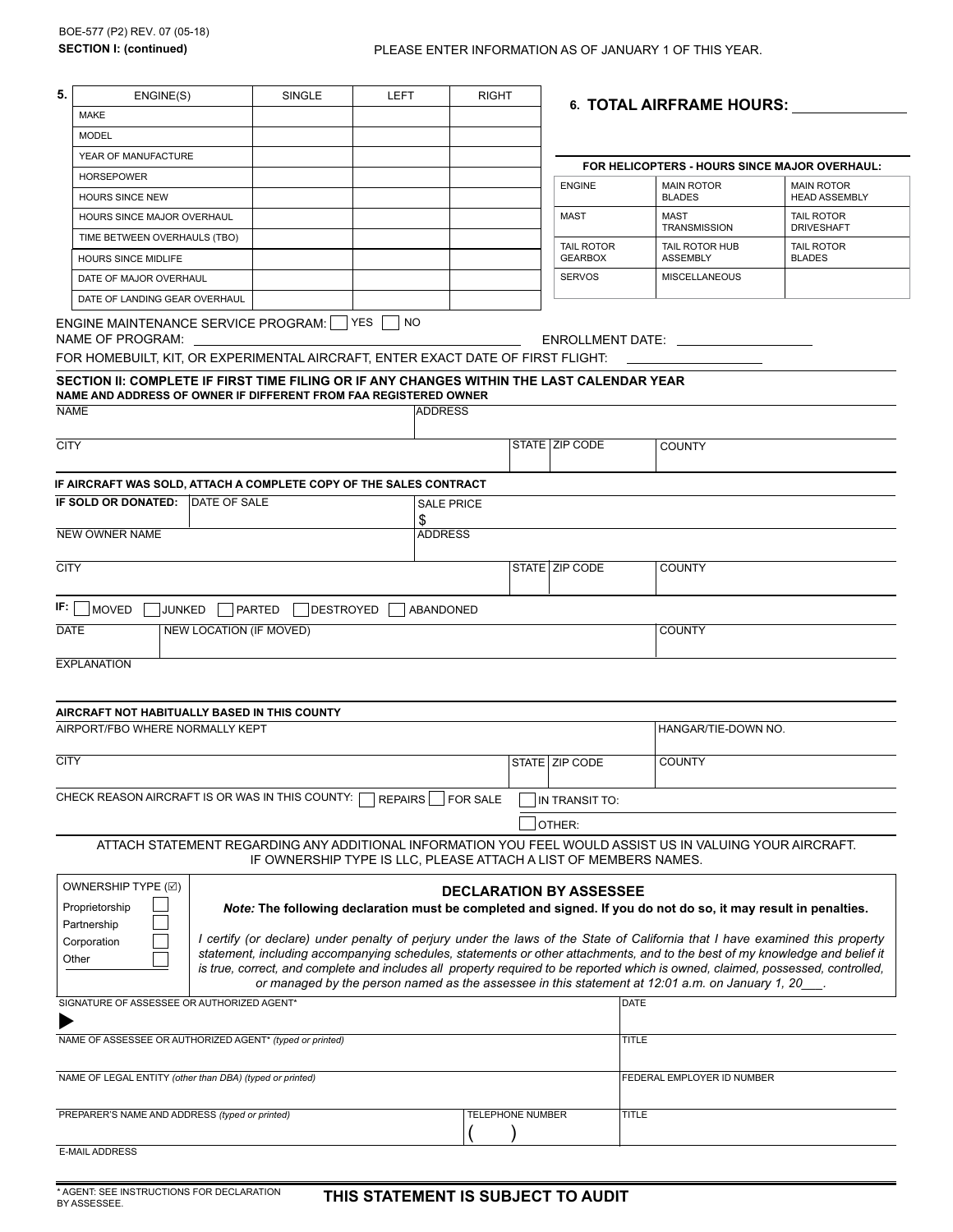| 5.                              | ENGINE(S)                                                                                                                                                                                                                                     | SINGLE<br>LEFT                                                   |           | <b>RIGHT</b>      |                         |  | <b>6. TOTAL AIRFRAME HOURS:</b>   |                                                                                                                                                                                                                                                                                                                                                                                                                                                                                                                                                                                                                      |                                        |  |  |
|---------------------------------|-----------------------------------------------------------------------------------------------------------------------------------------------------------------------------------------------------------------------------------------------|------------------------------------------------------------------|-----------|-------------------|-------------------------|--|-----------------------------------|----------------------------------------------------------------------------------------------------------------------------------------------------------------------------------------------------------------------------------------------------------------------------------------------------------------------------------------------------------------------------------------------------------------------------------------------------------------------------------------------------------------------------------------------------------------------------------------------------------------------|----------------------------------------|--|--|
|                                 | MAKE                                                                                                                                                                                                                                          |                                                                  |           |                   |                         |  |                                   |                                                                                                                                                                                                                                                                                                                                                                                                                                                                                                                                                                                                                      |                                        |  |  |
|                                 | <b>MODEL</b>                                                                                                                                                                                                                                  |                                                                  |           |                   |                         |  |                                   |                                                                                                                                                                                                                                                                                                                                                                                                                                                                                                                                                                                                                      |                                        |  |  |
|                                 | YEAR OF MANUFACTURE                                                                                                                                                                                                                           |                                                                  |           |                   |                         |  |                                   | FOR HELICOPTERS - HOURS SINCE MAJOR OVERHAUL:                                                                                                                                                                                                                                                                                                                                                                                                                                                                                                                                                                        |                                        |  |  |
|                                 | <b>HORSEPOWER</b>                                                                                                                                                                                                                             |                                                                  |           |                   |                         |  | <b>ENGINE</b>                     | <b>MAIN ROTOR</b>                                                                                                                                                                                                                                                                                                                                                                                                                                                                                                                                                                                                    | <b>MAIN ROTOR</b>                      |  |  |
|                                 | <b>HOURS SINCE NEW</b>                                                                                                                                                                                                                        |                                                                  |           |                   |                         |  |                                   | <b>BLADES</b>                                                                                                                                                                                                                                                                                                                                                                                                                                                                                                                                                                                                        | <b>HEAD ASSEMBLY</b>                   |  |  |
|                                 | HOURS SINCE MAJOR OVERHAUL                                                                                                                                                                                                                    |                                                                  |           |                   |                         |  | MAST                              | <b>MAST</b><br>TRANSMISSION                                                                                                                                                                                                                                                                                                                                                                                                                                                                                                                                                                                          | <b>TAIL ROTOR</b><br><b>DRIVESHAFT</b> |  |  |
|                                 | TIME BETWEEN OVERHAULS (TBO)                                                                                                                                                                                                                  |                                                                  |           |                   |                         |  | <b>TAIL ROTOR</b>                 | TAIL ROTOR HUB                                                                                                                                                                                                                                                                                                                                                                                                                                                                                                                                                                                                       | <b>TAIL ROTOR</b>                      |  |  |
|                                 | <b>HOURS SINCE MIDLIFE</b>                                                                                                                                                                                                                    |                                                                  |           |                   |                         |  | <b>GEARBOX</b>                    | <b>ASSEMBLY</b>                                                                                                                                                                                                                                                                                                                                                                                                                                                                                                                                                                                                      | <b>BLADES</b>                          |  |  |
|                                 | DATE OF MAJOR OVERHAUL                                                                                                                                                                                                                        |                                                                  |           |                   |                         |  | <b>SERVOS</b>                     | <b>MISCELLANEOUS</b>                                                                                                                                                                                                                                                                                                                                                                                                                                                                                                                                                                                                 |                                        |  |  |
|                                 | DATE OF LANDING GEAR OVERHAUL                                                                                                                                                                                                                 |                                                                  |           |                   |                         |  |                                   |                                                                                                                                                                                                                                                                                                                                                                                                                                                                                                                                                                                                                      |                                        |  |  |
|                                 | ENGINE MAINTENANCE SERVICE PROGRAM:   YES<br>NAME OF PROGRAM:<br>FOR HOMEBUILT, KIT, OR EXPERIMENTAL AIRCRAFT, ENTER EXACT DATE OF FIRST FLIGHT:<br>SECTION II: COMPLETE IF FIRST TIME FILING OR IF ANY CHANGES WITHIN THE LAST CALENDAR YEAR |                                                                  | <b>NO</b> |                   |                         |  |                                   | ENROLLMENT DATE: NAMEL AND THE                                                                                                                                                                                                                                                                                                                                                                                                                                                                                                                                                                                       |                                        |  |  |
|                                 | NAME AND ADDRESS OF OWNER IF DIFFERENT FROM FAA REGISTERED OWNER                                                                                                                                                                              |                                                                  |           |                   |                         |  |                                   |                                                                                                                                                                                                                                                                                                                                                                                                                                                                                                                                                                                                                      |                                        |  |  |
| <b>NAME</b>                     |                                                                                                                                                                                                                                               |                                                                  |           | ADDRESS           |                         |  |                                   |                                                                                                                                                                                                                                                                                                                                                                                                                                                                                                                                                                                                                      |                                        |  |  |
| <b>CITY</b>                     |                                                                                                                                                                                                                                               |                                                                  |           |                   |                         |  | STATE   ZIP CODE                  | <b>COUNTY</b>                                                                                                                                                                                                                                                                                                                                                                                                                                                                                                                                                                                                        |                                        |  |  |
|                                 | IF AIRCRAFT WAS SOLD, ATTACH A COMPLETE COPY OF THE SALES CONTRACT                                                                                                                                                                            |                                                                  |           |                   |                         |  |                                   |                                                                                                                                                                                                                                                                                                                                                                                                                                                                                                                                                                                                                      |                                        |  |  |
|                                 | <b>IF SOLD OR DONATED: IDATE OF SALE</b>                                                                                                                                                                                                      |                                                                  |           | <b>SALE PRICE</b> |                         |  |                                   |                                                                                                                                                                                                                                                                                                                                                                                                                                                                                                                                                                                                                      |                                        |  |  |
|                                 |                                                                                                                                                                                                                                               |                                                                  |           | \$                |                         |  |                                   |                                                                                                                                                                                                                                                                                                                                                                                                                                                                                                                                                                                                                      |                                        |  |  |
|                                 | <b>NEW OWNER NAME</b>                                                                                                                                                                                                                         |                                                                  |           | <b>ADDRESS</b>    |                         |  |                                   |                                                                                                                                                                                                                                                                                                                                                                                                                                                                                                                                                                                                                      |                                        |  |  |
| <b>CITY</b>                     |                                                                                                                                                                                                                                               |                                                                  |           |                   |                         |  | STATE   ZIP CODE<br><b>COUNTY</b> |                                                                                                                                                                                                                                                                                                                                                                                                                                                                                                                                                                                                                      |                                        |  |  |
| IF.                             | <b>MOVED</b><br>JUNKED                                                                                                                                                                                                                        | PARTED<br>DESTROYED                                              |           | ABANDONED         |                         |  |                                   |                                                                                                                                                                                                                                                                                                                                                                                                                                                                                                                                                                                                                      |                                        |  |  |
|                                 |                                                                                                                                                                                                                                               |                                                                  |           |                   |                         |  |                                   | <b>COUNTY</b>                                                                                                                                                                                                                                                                                                                                                                                                                                                                                                                                                                                                        |                                        |  |  |
| NEW LOCATION (IF MOVED)<br>DATE |                                                                                                                                                                                                                                               |                                                                  |           |                   |                         |  |                                   |                                                                                                                                                                                                                                                                                                                                                                                                                                                                                                                                                                                                                      |                                        |  |  |
|                                 | <b>EXPLANATION</b>                                                                                                                                                                                                                            |                                                                  |           |                   |                         |  |                                   |                                                                                                                                                                                                                                                                                                                                                                                                                                                                                                                                                                                                                      |                                        |  |  |
|                                 | AIRCRAFT NOT HABITUALLY BASED IN THIS COUNTY                                                                                                                                                                                                  |                                                                  |           |                   |                         |  |                                   |                                                                                                                                                                                                                                                                                                                                                                                                                                                                                                                                                                                                                      |                                        |  |  |
|                                 | AIRPORT/FBO WHERE NORMALLY KEPT                                                                                                                                                                                                               |                                                                  |           |                   |                         |  |                                   | HANGAR/TIE-DOWN NO.                                                                                                                                                                                                                                                                                                                                                                                                                                                                                                                                                                                                  |                                        |  |  |
| <b>CITY</b>                     |                                                                                                                                                                                                                                               |                                                                  |           |                   |                         |  | STATE   ZIP CODE                  |                                                                                                                                                                                                                                                                                                                                                                                                                                                                                                                                                                                                                      |                                        |  |  |
|                                 | CHECK REASON AIRCRAFT IS OR WAS IN THIS COUNTY:                                                                                                                                                                                               |                                                                  | REPAIRS   |                   | <b>FOR SALE</b>         |  | IN TRANSIT TO:                    |                                                                                                                                                                                                                                                                                                                                                                                                                                                                                                                                                                                                                      |                                        |  |  |
|                                 |                                                                                                                                                                                                                                               |                                                                  |           |                   |                         |  | OTHER:                            |                                                                                                                                                                                                                                                                                                                                                                                                                                                                                                                                                                                                                      |                                        |  |  |
|                                 | ATTACH STATEMENT REGARDING ANY ADDITIONAL INFORMATION YOU FEEL WOULD ASSIST US IN VALUING YOUR AIRCRAFT.                                                                                                                                      | IF OWNERSHIP TYPE IS LLC, PLEASE ATTACH A LIST OF MEMBERS NAMES. |           |                   |                         |  |                                   |                                                                                                                                                                                                                                                                                                                                                                                                                                                                                                                                                                                                                      |                                        |  |  |
|                                 | OWNERSHIP TYPE (☑)<br>Proprietorship<br>Partnership<br>Corporation<br>Other                                                                                                                                                                   |                                                                  |           |                   |                         |  | <b>DECLARATION BY ASSESSEE</b>    | Note: The following declaration must be completed and signed. If you do not do so, it may result in penalties.<br>I certify (or declare) under penalty of perjury under the laws of the State of California that I have examined this property<br>statement, including accompanying schedules, statements or other attachments, and to the best of my knowledge and belief it<br>is true, correct, and complete and includes all property required to be reported which is owned, claimed, possessed, controlled,<br>or managed by the person named as the assessee in this statement at 12:01 a.m. on January 1, 20 |                                        |  |  |
|                                 | SIGNATURE OF ASSESSEE OR AUTHORIZED AGENT*                                                                                                                                                                                                    |                                                                  |           |                   |                         |  |                                   | <b>DATE</b>                                                                                                                                                                                                                                                                                                                                                                                                                                                                                                                                                                                                          |                                        |  |  |
|                                 |                                                                                                                                                                                                                                               |                                                                  |           |                   |                         |  |                                   |                                                                                                                                                                                                                                                                                                                                                                                                                                                                                                                                                                                                                      |                                        |  |  |
|                                 | NAME OF ASSESSEE OR AUTHORIZED AGENT* (typed or printed)                                                                                                                                                                                      |                                                                  |           |                   |                         |  |                                   | <b>TITLE</b>                                                                                                                                                                                                                                                                                                                                                                                                                                                                                                                                                                                                         |                                        |  |  |
|                                 | NAME OF LEGAL ENTITY (other than DBA) (typed or printed)                                                                                                                                                                                      |                                                                  |           |                   |                         |  |                                   | FEDERAL EMPLOYER ID NUMBER                                                                                                                                                                                                                                                                                                                                                                                                                                                                                                                                                                                           |                                        |  |  |
|                                 | PREPARER'S NAME AND ADDRESS (typed or printed)                                                                                                                                                                                                |                                                                  |           |                   | <b>TELEPHONE NUMBER</b> |  |                                   | <b>TITLE</b>                                                                                                                                                                                                                                                                                                                                                                                                                                                                                                                                                                                                         |                                        |  |  |
|                                 | <b>E-MAIL ADDRESS</b>                                                                                                                                                                                                                         |                                                                  |           |                   |                         |  |                                   |                                                                                                                                                                                                                                                                                                                                                                                                                                                                                                                                                                                                                      |                                        |  |  |